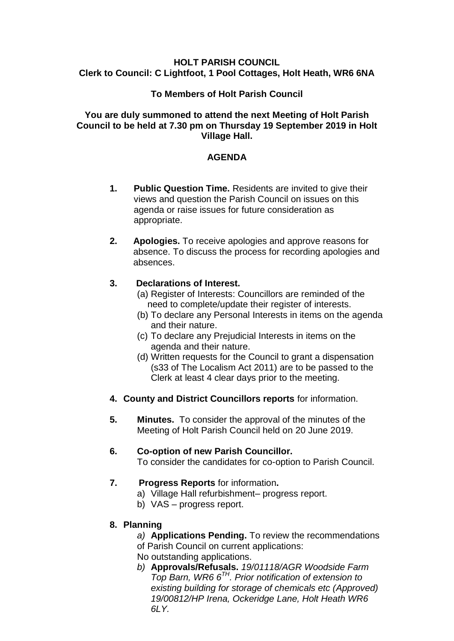#### **HOLT PARISH COUNCIL Clerk to Council: C Lightfoot, 1 Pool Cottages, Holt Heath, WR6 6NA**

## **To Members of Holt Parish Council**

#### **You are duly summoned to attend the next Meeting of Holt Parish Council to be held at 7.30 pm on Thursday 19 September 2019 in Holt Village Hall.**

## **AGENDA**

- **1. Public Question Time.** Residents are invited to give their views and question the Parish Council on issues on this agenda or raise issues for future consideration as appropriate.
- **2. Apologies.** To receive apologies and approve reasons for absence. To discuss the process for recording apologies and absences.

#### **3. Declarations of Interest.**

- (a) Register of Interests: Councillors are reminded of the need to complete/update their register of interests.
- (b) To declare any Personal Interests in items on the agenda and their nature.
- (c) To declare any Prejudicial Interests in items on the agenda and their nature.
- (d) Written requests for the Council to grant a dispensation (s33 of The Localism Act 2011) are to be passed to the Clerk at least 4 clear days prior to the meeting.
- **4. County and District Councillors reports** for information.
- **5. Minutes.** To consider the approval of the minutes of the Meeting of Holt Parish Council held on 20 June 2019.

# **6. Co-option of new Parish Councillor.**

To consider the candidates for co-option to Parish Council.

# **7. Progress Reports** for information**.**

- a) Village Hall refurbishment– progress report.
- b) VAS progress report.
- **8. Planning**
	- *a)* **Applications Pending.** To review the recommendations of Parish Council on current applications:
	- No outstanding applications.
	- *b)* **Approvals/Refusals.** *19/01118/AGR Woodside Farm Top Barn, WR6 6TH. Prior notification of extension to existing building for storage of chemicals etc (Approved) 19/00812/HP Irena, Ockeridge Lane, Holt Heath WR6 6LY.*